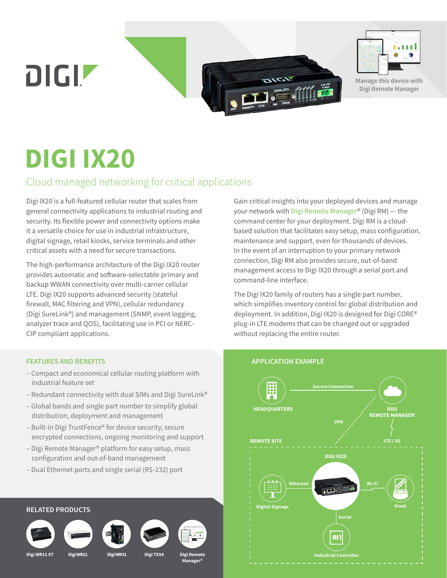DIGIZ



**Manage this device with Digi Remote Manager**

# **DIGI IX20**

# Cloud managed networking for critical applications

Digi IX20 is a full-featured cellular router that scales from general connectivity applications to industrial routing and security. Its flexible power and connectivity options make it a versatile choice for use in industrial infrastructure, digital signage, retail kiosks, service terminals and other critical assets with a need for secure transactions.

The high-performance architecture of the Digi IX20 router provides automatic and software-selectable primary and backup WWAN connectivity over multi-carrier cellular LTE. Digi IX20 supports advanced security (stateful firewall, MAC filtering and VPN), cellular redundancy (Digi SureLink®) and management (SNMP, event logging, analyzer trace and QOS), facilitating use in PCI or NERC-CIP compliant applications.

#### **FEATURES AND BENEFITS**

- Compact and economical cellular routing platform with industrial feature set
- Redundant connectivity with dual SIMs and Digi SureLink®
- Global bands and single part number to simplify global distribution, deployment and management
- Built-in Digi TrustFence® for device security, secure encrypted connections, ongoing monitoring and support
- Digi Remote Manager® platform for easy setup, mass configuration and out-of-band management
- Dual Ethernet ports and single serial (RS-232) port

**RELATED PRODUCTS Digi WR11 XT Digi WR21 Digi WR31 Digi Remote Manager® Digi TX54**

Gain critical insights into your deployed devices and manage your network with **[Digi Remote Manager](https://www.digi.com/products/iot-software-services/digi-remote-manager)**® (Digi RM) — the command center for your deployment. Digi RM is a cloudbased solution that facilitates easy setup, mass configuration, maintenance and support, even for thousands of devices. In the event of an interruption to your primary network connection, Digi RM also provides secure, out-of-band management access to Digi IX20 through a serial port and command-line interface.

The Digi IX20 family of routers has a single part number, which simplifies inventory control for global distribution and deployment. In addition, Digi IX20 is designed for Digi CORE® plug-in LTE modems that can be changed out or upgraded without replacing the entire router.

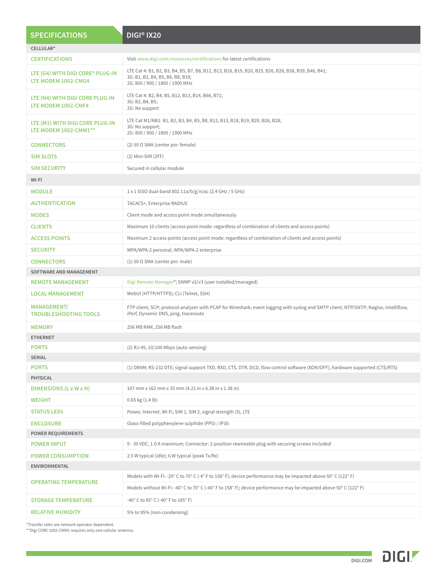| CELLULAR*<br>Visit www.digi.com/resources/certifications for latest certifications<br><b>CERTIFICATIONS</b><br>LTE Cat 4: B1, B2, B3, B4, B5, B7, B8, B12, B13, B18, B19, B20, B25, B26, B28, B38, B39, B40, B41;<br>LTE (G4) WITH DIGI CORE® PLUG-IN<br>3G: B1, B2, B4, B5, B6, B8, B19;<br>LTE MODEM 1002-CMG4<br>2G: 850 / 900 / 1800 / 1900 MHz<br>LTE Cat 4: B2, B4, B5, B12, B13, B14, B66, B71;<br>LTE (N4) WITH DIGI CORE PLUG-IN<br>3G: B2, B4, B5;<br>LTE MODEM 1002-CMF4<br>2G: No support<br>LTE Cat M1/NB1: B1, B2, B3, B4, B5, B8, B12, B13, B18, B19, B20, B26, B28;<br>LTE (M1) WITH DIGI CORE PLUG-IN<br>3G: No support;<br>LTE MODEM 1002-CMM1**<br>2G: 850 / 900 / 1800 / 1900 MHz<br>$(2)$ 50 Ω SMA (center pin: female)<br><b>CONNECTORS</b><br><b>SIM SLOTS</b><br>$(2)$ Mini-SIM $(2FF)$<br>Secured in cellular module<br><b>SIM SECURITY</b><br>WI-FI<br><b>MODULE</b><br>1 x 1 SISO dual-band 802.11a/b/g/n/ac (2.4 GHz / 5 GHz)<br><b>AUTHENTICATION</b><br>TACACS+, Enterprise RADIUS<br><b>MODES</b><br>Client mode and access point mode simultaneously<br><b>CLIENTS</b><br>Maximum 10 clients (access point mode: regardless of combination of clients and access points)<br><b>ACCESS POINTS</b><br>Maximum 2 access points (access point mode: regardless of combination of clients and access points)<br>WPA/WPA-2 personal, WPA/WPA-2 enterprise<br><b>SECURITY</b><br>$(1)$ 50 $\Omega$ SMA (center pin: male)<br>CONNECTORS<br>SOFTWARE AND MANAGEMENT<br>Digi Remote Manager®; SNMP v2/v3 (user installed/managed)<br><b>REMOTE MANAGEMENT</b><br>WebUI (HTTP/HTTPS); CLI (Telnet, SSH)<br><b>LOCAL MANAGEMENT</b><br><b>MANAGEMENT/</b><br>FTP client, SCP; protocol analyzer with PCAP for Wireshark; event logging with syslog and SMTP client; NTP/SNTP; Nagios, Intelliflow,<br>iPerf, Dynamic DNS, ping, traceroute<br><b>TROUBLESHOOTING TOOLS</b><br><b>MEMORY</b><br>256 MB RAM, 256 MB flash<br><b>ETHERNET</b><br><b>PORTS</b><br>(2) RJ-45; 10/100 Mbps (auto-sensing)<br><b>SERIAL</b><br>(1) DB9M; RS-232 DTE; signal support TXD, RXD, CTS, DTR, DCD, flow control software (XON/OFF), hardware supported (CTS/RTS)<br><b>PORTS</b><br>PHYSICAL<br>DIMENSIONS (L x W x H)<br>107 mm x 162 mm x 35 mm (4.21 in x 6.38 in x 1.38 in)<br><b>WEIGHT</b><br>$0.65$ kg $(1.4 \text{ lb})$<br>Power, Internet, Wi-Fi, SIM 1, SIM 2, signal strength (5), LTE<br><b>STATUS LEDS</b><br><b>ENCLOSURE</b><br>Glass-filled polyphenylene sulphide (PPS) / IP30<br><b>POWER REQUIREMENTS</b><br>9 - 30 VDC, 1.0 A maximum; Connector: 2-position rewireable plug with securing screws included<br><b>POWER INPUT</b><br><b>POWER CONSUMPTION</b><br>2.5 W typical (idle); 6 W typical (peak Tx/Rx)<br>ENVIRONMENTAL<br>Models with Wi-Fi: -20° C to 70° C (-4° F to 158° F); device performance may be impacted above 50° C (122° F)<br><b>OPERATING TEMPERATURE</b><br>Models without Wi-Fi: -40° C to 70° C (-40° F to 158° F); device performance may be impacted above 50° C (122° F)<br><b>STORAGE TEMPERATURE</b><br>-40° C to 85° C (-40° F to 185° F)<br><b>RELATIVE HUMIDITY</b><br>5% to 95% (non-condensing) | <b>SPECIFICATIONS</b> | DIGI <sup>®</sup> IX20 |
|------------------------------------------------------------------------------------------------------------------------------------------------------------------------------------------------------------------------------------------------------------------------------------------------------------------------------------------------------------------------------------------------------------------------------------------------------------------------------------------------------------------------------------------------------------------------------------------------------------------------------------------------------------------------------------------------------------------------------------------------------------------------------------------------------------------------------------------------------------------------------------------------------------------------------------------------------------------------------------------------------------------------------------------------------------------------------------------------------------------------------------------------------------------------------------------------------------------------------------------------------------------------------------------------------------------------------------------------------------------------------------------------------------------------------------------------------------------------------------------------------------------------------------------------------------------------------------------------------------------------------------------------------------------------------------------------------------------------------------------------------------------------------------------------------------------------------------------------------------------------------------------------------------------------------------------------------------------------------------------------------------------------------------------------------------------------------------------------------------------------------------------------------------------------------------------------------------------------------------------------------------------------------------------------------------------------------------------------------------------------------------------------------------------------------------------------------------------------------------------------------------------------------------------------------------------------------------------------------------------------------------------------------------------------------------------------------------------------------------------------------------------------------------------------------------------------------------------------------------------------------------------------------------------------------------------------------------------------------------------------------------------------------------------------------------------------------------------------------------------------------------------------------------------|-----------------------|------------------------|
|                                                                                                                                                                                                                                                                                                                                                                                                                                                                                                                                                                                                                                                                                                                                                                                                                                                                                                                                                                                                                                                                                                                                                                                                                                                                                                                                                                                                                                                                                                                                                                                                                                                                                                                                                                                                                                                                                                                                                                                                                                                                                                                                                                                                                                                                                                                                                                                                                                                                                                                                                                                                                                                                                                                                                                                                                                                                                                                                                                                                                                                                                                                                                                  |                       |                        |
|                                                                                                                                                                                                                                                                                                                                                                                                                                                                                                                                                                                                                                                                                                                                                                                                                                                                                                                                                                                                                                                                                                                                                                                                                                                                                                                                                                                                                                                                                                                                                                                                                                                                                                                                                                                                                                                                                                                                                                                                                                                                                                                                                                                                                                                                                                                                                                                                                                                                                                                                                                                                                                                                                                                                                                                                                                                                                                                                                                                                                                                                                                                                                                  |                       |                        |
|                                                                                                                                                                                                                                                                                                                                                                                                                                                                                                                                                                                                                                                                                                                                                                                                                                                                                                                                                                                                                                                                                                                                                                                                                                                                                                                                                                                                                                                                                                                                                                                                                                                                                                                                                                                                                                                                                                                                                                                                                                                                                                                                                                                                                                                                                                                                                                                                                                                                                                                                                                                                                                                                                                                                                                                                                                                                                                                                                                                                                                                                                                                                                                  |                       |                        |
|                                                                                                                                                                                                                                                                                                                                                                                                                                                                                                                                                                                                                                                                                                                                                                                                                                                                                                                                                                                                                                                                                                                                                                                                                                                                                                                                                                                                                                                                                                                                                                                                                                                                                                                                                                                                                                                                                                                                                                                                                                                                                                                                                                                                                                                                                                                                                                                                                                                                                                                                                                                                                                                                                                                                                                                                                                                                                                                                                                                                                                                                                                                                                                  |                       |                        |
|                                                                                                                                                                                                                                                                                                                                                                                                                                                                                                                                                                                                                                                                                                                                                                                                                                                                                                                                                                                                                                                                                                                                                                                                                                                                                                                                                                                                                                                                                                                                                                                                                                                                                                                                                                                                                                                                                                                                                                                                                                                                                                                                                                                                                                                                                                                                                                                                                                                                                                                                                                                                                                                                                                                                                                                                                                                                                                                                                                                                                                                                                                                                                                  |                       |                        |
|                                                                                                                                                                                                                                                                                                                                                                                                                                                                                                                                                                                                                                                                                                                                                                                                                                                                                                                                                                                                                                                                                                                                                                                                                                                                                                                                                                                                                                                                                                                                                                                                                                                                                                                                                                                                                                                                                                                                                                                                                                                                                                                                                                                                                                                                                                                                                                                                                                                                                                                                                                                                                                                                                                                                                                                                                                                                                                                                                                                                                                                                                                                                                                  |                       |                        |
|                                                                                                                                                                                                                                                                                                                                                                                                                                                                                                                                                                                                                                                                                                                                                                                                                                                                                                                                                                                                                                                                                                                                                                                                                                                                                                                                                                                                                                                                                                                                                                                                                                                                                                                                                                                                                                                                                                                                                                                                                                                                                                                                                                                                                                                                                                                                                                                                                                                                                                                                                                                                                                                                                                                                                                                                                                                                                                                                                                                                                                                                                                                                                                  |                       |                        |
|                                                                                                                                                                                                                                                                                                                                                                                                                                                                                                                                                                                                                                                                                                                                                                                                                                                                                                                                                                                                                                                                                                                                                                                                                                                                                                                                                                                                                                                                                                                                                                                                                                                                                                                                                                                                                                                                                                                                                                                                                                                                                                                                                                                                                                                                                                                                                                                                                                                                                                                                                                                                                                                                                                                                                                                                                                                                                                                                                                                                                                                                                                                                                                  |                       |                        |
|                                                                                                                                                                                                                                                                                                                                                                                                                                                                                                                                                                                                                                                                                                                                                                                                                                                                                                                                                                                                                                                                                                                                                                                                                                                                                                                                                                                                                                                                                                                                                                                                                                                                                                                                                                                                                                                                                                                                                                                                                                                                                                                                                                                                                                                                                                                                                                                                                                                                                                                                                                                                                                                                                                                                                                                                                                                                                                                                                                                                                                                                                                                                                                  |                       |                        |
|                                                                                                                                                                                                                                                                                                                                                                                                                                                                                                                                                                                                                                                                                                                                                                                                                                                                                                                                                                                                                                                                                                                                                                                                                                                                                                                                                                                                                                                                                                                                                                                                                                                                                                                                                                                                                                                                                                                                                                                                                                                                                                                                                                                                                                                                                                                                                                                                                                                                                                                                                                                                                                                                                                                                                                                                                                                                                                                                                                                                                                                                                                                                                                  |                       |                        |
|                                                                                                                                                                                                                                                                                                                                                                                                                                                                                                                                                                                                                                                                                                                                                                                                                                                                                                                                                                                                                                                                                                                                                                                                                                                                                                                                                                                                                                                                                                                                                                                                                                                                                                                                                                                                                                                                                                                                                                                                                                                                                                                                                                                                                                                                                                                                                                                                                                                                                                                                                                                                                                                                                                                                                                                                                                                                                                                                                                                                                                                                                                                                                                  |                       |                        |
|                                                                                                                                                                                                                                                                                                                                                                                                                                                                                                                                                                                                                                                                                                                                                                                                                                                                                                                                                                                                                                                                                                                                                                                                                                                                                                                                                                                                                                                                                                                                                                                                                                                                                                                                                                                                                                                                                                                                                                                                                                                                                                                                                                                                                                                                                                                                                                                                                                                                                                                                                                                                                                                                                                                                                                                                                                                                                                                                                                                                                                                                                                                                                                  |                       |                        |
|                                                                                                                                                                                                                                                                                                                                                                                                                                                                                                                                                                                                                                                                                                                                                                                                                                                                                                                                                                                                                                                                                                                                                                                                                                                                                                                                                                                                                                                                                                                                                                                                                                                                                                                                                                                                                                                                                                                                                                                                                                                                                                                                                                                                                                                                                                                                                                                                                                                                                                                                                                                                                                                                                                                                                                                                                                                                                                                                                                                                                                                                                                                                                                  |                       |                        |
|                                                                                                                                                                                                                                                                                                                                                                                                                                                                                                                                                                                                                                                                                                                                                                                                                                                                                                                                                                                                                                                                                                                                                                                                                                                                                                                                                                                                                                                                                                                                                                                                                                                                                                                                                                                                                                                                                                                                                                                                                                                                                                                                                                                                                                                                                                                                                                                                                                                                                                                                                                                                                                                                                                                                                                                                                                                                                                                                                                                                                                                                                                                                                                  |                       |                        |
|                                                                                                                                                                                                                                                                                                                                                                                                                                                                                                                                                                                                                                                                                                                                                                                                                                                                                                                                                                                                                                                                                                                                                                                                                                                                                                                                                                                                                                                                                                                                                                                                                                                                                                                                                                                                                                                                                                                                                                                                                                                                                                                                                                                                                                                                                                                                                                                                                                                                                                                                                                                                                                                                                                                                                                                                                                                                                                                                                                                                                                                                                                                                                                  |                       |                        |
|                                                                                                                                                                                                                                                                                                                                                                                                                                                                                                                                                                                                                                                                                                                                                                                                                                                                                                                                                                                                                                                                                                                                                                                                                                                                                                                                                                                                                                                                                                                                                                                                                                                                                                                                                                                                                                                                                                                                                                                                                                                                                                                                                                                                                                                                                                                                                                                                                                                                                                                                                                                                                                                                                                                                                                                                                                                                                                                                                                                                                                                                                                                                                                  |                       |                        |
|                                                                                                                                                                                                                                                                                                                                                                                                                                                                                                                                                                                                                                                                                                                                                                                                                                                                                                                                                                                                                                                                                                                                                                                                                                                                                                                                                                                                                                                                                                                                                                                                                                                                                                                                                                                                                                                                                                                                                                                                                                                                                                                                                                                                                                                                                                                                                                                                                                                                                                                                                                                                                                                                                                                                                                                                                                                                                                                                                                                                                                                                                                                                                                  |                       |                        |
|                                                                                                                                                                                                                                                                                                                                                                                                                                                                                                                                                                                                                                                                                                                                                                                                                                                                                                                                                                                                                                                                                                                                                                                                                                                                                                                                                                                                                                                                                                                                                                                                                                                                                                                                                                                                                                                                                                                                                                                                                                                                                                                                                                                                                                                                                                                                                                                                                                                                                                                                                                                                                                                                                                                                                                                                                                                                                                                                                                                                                                                                                                                                                                  |                       |                        |
|                                                                                                                                                                                                                                                                                                                                                                                                                                                                                                                                                                                                                                                                                                                                                                                                                                                                                                                                                                                                                                                                                                                                                                                                                                                                                                                                                                                                                                                                                                                                                                                                                                                                                                                                                                                                                                                                                                                                                                                                                                                                                                                                                                                                                                                                                                                                                                                                                                                                                                                                                                                                                                                                                                                                                                                                                                                                                                                                                                                                                                                                                                                                                                  |                       |                        |
|                                                                                                                                                                                                                                                                                                                                                                                                                                                                                                                                                                                                                                                                                                                                                                                                                                                                                                                                                                                                                                                                                                                                                                                                                                                                                                                                                                                                                                                                                                                                                                                                                                                                                                                                                                                                                                                                                                                                                                                                                                                                                                                                                                                                                                                                                                                                                                                                                                                                                                                                                                                                                                                                                                                                                                                                                                                                                                                                                                                                                                                                                                                                                                  |                       |                        |
|                                                                                                                                                                                                                                                                                                                                                                                                                                                                                                                                                                                                                                                                                                                                                                                                                                                                                                                                                                                                                                                                                                                                                                                                                                                                                                                                                                                                                                                                                                                                                                                                                                                                                                                                                                                                                                                                                                                                                                                                                                                                                                                                                                                                                                                                                                                                                                                                                                                                                                                                                                                                                                                                                                                                                                                                                                                                                                                                                                                                                                                                                                                                                                  |                       |                        |
|                                                                                                                                                                                                                                                                                                                                                                                                                                                                                                                                                                                                                                                                                                                                                                                                                                                                                                                                                                                                                                                                                                                                                                                                                                                                                                                                                                                                                                                                                                                                                                                                                                                                                                                                                                                                                                                                                                                                                                                                                                                                                                                                                                                                                                                                                                                                                                                                                                                                                                                                                                                                                                                                                                                                                                                                                                                                                                                                                                                                                                                                                                                                                                  |                       |                        |
|                                                                                                                                                                                                                                                                                                                                                                                                                                                                                                                                                                                                                                                                                                                                                                                                                                                                                                                                                                                                                                                                                                                                                                                                                                                                                                                                                                                                                                                                                                                                                                                                                                                                                                                                                                                                                                                                                                                                                                                                                                                                                                                                                                                                                                                                                                                                                                                                                                                                                                                                                                                                                                                                                                                                                                                                                                                                                                                                                                                                                                                                                                                                                                  |                       |                        |
|                                                                                                                                                                                                                                                                                                                                                                                                                                                                                                                                                                                                                                                                                                                                                                                                                                                                                                                                                                                                                                                                                                                                                                                                                                                                                                                                                                                                                                                                                                                                                                                                                                                                                                                                                                                                                                                                                                                                                                                                                                                                                                                                                                                                                                                                                                                                                                                                                                                                                                                                                                                                                                                                                                                                                                                                                                                                                                                                                                                                                                                                                                                                                                  |                       |                        |
|                                                                                                                                                                                                                                                                                                                                                                                                                                                                                                                                                                                                                                                                                                                                                                                                                                                                                                                                                                                                                                                                                                                                                                                                                                                                                                                                                                                                                                                                                                                                                                                                                                                                                                                                                                                                                                                                                                                                                                                                                                                                                                                                                                                                                                                                                                                                                                                                                                                                                                                                                                                                                                                                                                                                                                                                                                                                                                                                                                                                                                                                                                                                                                  |                       |                        |
|                                                                                                                                                                                                                                                                                                                                                                                                                                                                                                                                                                                                                                                                                                                                                                                                                                                                                                                                                                                                                                                                                                                                                                                                                                                                                                                                                                                                                                                                                                                                                                                                                                                                                                                                                                                                                                                                                                                                                                                                                                                                                                                                                                                                                                                                                                                                                                                                                                                                                                                                                                                                                                                                                                                                                                                                                                                                                                                                                                                                                                                                                                                                                                  |                       |                        |
|                                                                                                                                                                                                                                                                                                                                                                                                                                                                                                                                                                                                                                                                                                                                                                                                                                                                                                                                                                                                                                                                                                                                                                                                                                                                                                                                                                                                                                                                                                                                                                                                                                                                                                                                                                                                                                                                                                                                                                                                                                                                                                                                                                                                                                                                                                                                                                                                                                                                                                                                                                                                                                                                                                                                                                                                                                                                                                                                                                                                                                                                                                                                                                  |                       |                        |
|                                                                                                                                                                                                                                                                                                                                                                                                                                                                                                                                                                                                                                                                                                                                                                                                                                                                                                                                                                                                                                                                                                                                                                                                                                                                                                                                                                                                                                                                                                                                                                                                                                                                                                                                                                                                                                                                                                                                                                                                                                                                                                                                                                                                                                                                                                                                                                                                                                                                                                                                                                                                                                                                                                                                                                                                                                                                                                                                                                                                                                                                                                                                                                  |                       |                        |
|                                                                                                                                                                                                                                                                                                                                                                                                                                                                                                                                                                                                                                                                                                                                                                                                                                                                                                                                                                                                                                                                                                                                                                                                                                                                                                                                                                                                                                                                                                                                                                                                                                                                                                                                                                                                                                                                                                                                                                                                                                                                                                                                                                                                                                                                                                                                                                                                                                                                                                                                                                                                                                                                                                                                                                                                                                                                                                                                                                                                                                                                                                                                                                  |                       |                        |
|                                                                                                                                                                                                                                                                                                                                                                                                                                                                                                                                                                                                                                                                                                                                                                                                                                                                                                                                                                                                                                                                                                                                                                                                                                                                                                                                                                                                                                                                                                                                                                                                                                                                                                                                                                                                                                                                                                                                                                                                                                                                                                                                                                                                                                                                                                                                                                                                                                                                                                                                                                                                                                                                                                                                                                                                                                                                                                                                                                                                                                                                                                                                                                  |                       |                        |
|                                                                                                                                                                                                                                                                                                                                                                                                                                                                                                                                                                                                                                                                                                                                                                                                                                                                                                                                                                                                                                                                                                                                                                                                                                                                                                                                                                                                                                                                                                                                                                                                                                                                                                                                                                                                                                                                                                                                                                                                                                                                                                                                                                                                                                                                                                                                                                                                                                                                                                                                                                                                                                                                                                                                                                                                                                                                                                                                                                                                                                                                                                                                                                  |                       |                        |
|                                                                                                                                                                                                                                                                                                                                                                                                                                                                                                                                                                                                                                                                                                                                                                                                                                                                                                                                                                                                                                                                                                                                                                                                                                                                                                                                                                                                                                                                                                                                                                                                                                                                                                                                                                                                                                                                                                                                                                                                                                                                                                                                                                                                                                                                                                                                                                                                                                                                                                                                                                                                                                                                                                                                                                                                                                                                                                                                                                                                                                                                                                                                                                  |                       |                        |
|                                                                                                                                                                                                                                                                                                                                                                                                                                                                                                                                                                                                                                                                                                                                                                                                                                                                                                                                                                                                                                                                                                                                                                                                                                                                                                                                                                                                                                                                                                                                                                                                                                                                                                                                                                                                                                                                                                                                                                                                                                                                                                                                                                                                                                                                                                                                                                                                                                                                                                                                                                                                                                                                                                                                                                                                                                                                                                                                                                                                                                                                                                                                                                  |                       |                        |
|                                                                                                                                                                                                                                                                                                                                                                                                                                                                                                                                                                                                                                                                                                                                                                                                                                                                                                                                                                                                                                                                                                                                                                                                                                                                                                                                                                                                                                                                                                                                                                                                                                                                                                                                                                                                                                                                                                                                                                                                                                                                                                                                                                                                                                                                                                                                                                                                                                                                                                                                                                                                                                                                                                                                                                                                                                                                                                                                                                                                                                                                                                                                                                  |                       |                        |
|                                                                                                                                                                                                                                                                                                                                                                                                                                                                                                                                                                                                                                                                                                                                                                                                                                                                                                                                                                                                                                                                                                                                                                                                                                                                                                                                                                                                                                                                                                                                                                                                                                                                                                                                                                                                                                                                                                                                                                                                                                                                                                                                                                                                                                                                                                                                                                                                                                                                                                                                                                                                                                                                                                                                                                                                                                                                                                                                                                                                                                                                                                                                                                  |                       |                        |
|                                                                                                                                                                                                                                                                                                                                                                                                                                                                                                                                                                                                                                                                                                                                                                                                                                                                                                                                                                                                                                                                                                                                                                                                                                                                                                                                                                                                                                                                                                                                                                                                                                                                                                                                                                                                                                                                                                                                                                                                                                                                                                                                                                                                                                                                                                                                                                                                                                                                                                                                                                                                                                                                                                                                                                                                                                                                                                                                                                                                                                                                                                                                                                  |                       |                        |
|                                                                                                                                                                                                                                                                                                                                                                                                                                                                                                                                                                                                                                                                                                                                                                                                                                                                                                                                                                                                                                                                                                                                                                                                                                                                                                                                                                                                                                                                                                                                                                                                                                                                                                                                                                                                                                                                                                                                                                                                                                                                                                                                                                                                                                                                                                                                                                                                                                                                                                                                                                                                                                                                                                                                                                                                                                                                                                                                                                                                                                                                                                                                                                  |                       |                        |

\*Transfer rates are network operator dependent. \*\*Digi CORE 1002-CMM1 requires only one cellular antenna.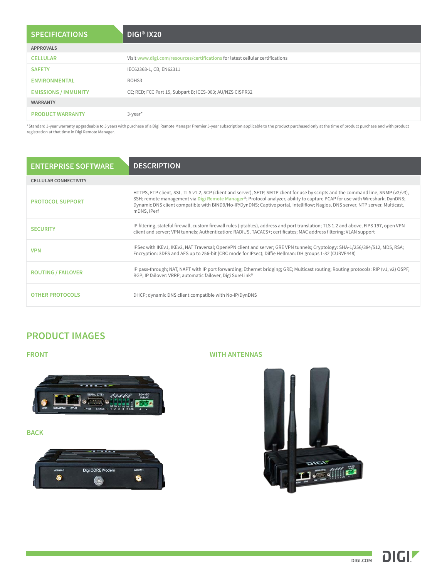| <b>SPECIFICATIONS</b>       | DIGI <sup>®</sup> IX20                                                         |
|-----------------------------|--------------------------------------------------------------------------------|
| <b>APPROVALS</b>            |                                                                                |
| <b>CELLULAR</b>             | Visit www.digi.com/resources/certifications for latest cellular certifications |
| <b>SAFETY</b>               | IEC62368-1, CB, EN62311                                                        |
| <b>ENVIRONMENTAL</b>        | ROHS3                                                                          |
| <b>EMISSIONS / IMMUNITY</b> | CE; RED; FCC Part 15, Subpart B; ICES-003; AU/NZS CISPR32                      |
| <b>WARRANTY</b>             |                                                                                |
| <b>PRODUCT WARRANTY</b>     | $3$ -year <sup>*</sup>                                                         |

\*Standard 3-year warranty upgradeable to 5 years with purchase of a Digi Remote Manager Premier 5-year subscription applicable to the product purchased only at the time of product purchase and with product registration at that time in Digi Remote Manager.

| <b>ENTERPRISE SOFTWARE</b>   | <b>DESCRIPTION</b>                                                                                                                                                                                                                                                                                                                                                                                                  |  |
|------------------------------|---------------------------------------------------------------------------------------------------------------------------------------------------------------------------------------------------------------------------------------------------------------------------------------------------------------------------------------------------------------------------------------------------------------------|--|
| <b>CELLULAR CONNECTIVITY</b> |                                                                                                                                                                                                                                                                                                                                                                                                                     |  |
| <b>PROTOCOL SUPPORT</b>      | HTTPS, FTP client, SSL, TLS v1.2, SCP (client and server), SFTP, SMTP client for use by scripts and the command line, SNMP (v2/v3),<br>SSH; remote management via Digi Remote Manager®; Protocol analyzer, ability to capture PCAP for use with Wireshark; DynDNS;<br>Dynamic DNS client compatible with BIND9/No-IP/DynDNS; Captive portal, Intelliflow; Nagios, DNS server, NTP server, Multicast,<br>mDNS, IPerf |  |
| <b>SECURITY</b>              | IP filtering, stateful firewall, custom firewall rules (iptables), address and port translation; TLS 1.2 and above, FIPS 197, open VPN<br>client and server; VPN tunnels; Authentication: RADIUS, TACACS+; certificates; MAC address filtering; VLAN support                                                                                                                                                        |  |
| <b>VPN</b>                   | IPSec with IKEv1, IKEv2, NAT Traversal; OpenVPN client and server; GRE VPN tunnels; Cryptology: SHA-1/256/384/512, MD5, RSA;<br>Encryption: 3DES and AES up to 256-bit (CBC mode for IPsec); Diffie Hellman: DH groups 1-32 (CURVE448)                                                                                                                                                                              |  |
| <b>ROUTING / FAILOVER</b>    | IP pass-through; NAT, NAPT with IP port forwarding; Ethernet bridging; GRE; Multicast routing; Routing protocols: RIP (v1, v2) OSPF,<br>BGP; IP failover: VRRP; automatic failover, Digi SureLink®                                                                                                                                                                                                                  |  |
| <b>OTHER PROTOCOLS</b>       | DHCP; dynamic DNS client compatible with No-IP/DynDNS                                                                                                                                                                                                                                                                                                                                                               |  |

# **PRODUCT IMAGES**



#### **BACK**



## **FRONT WITH ANTENNAS**



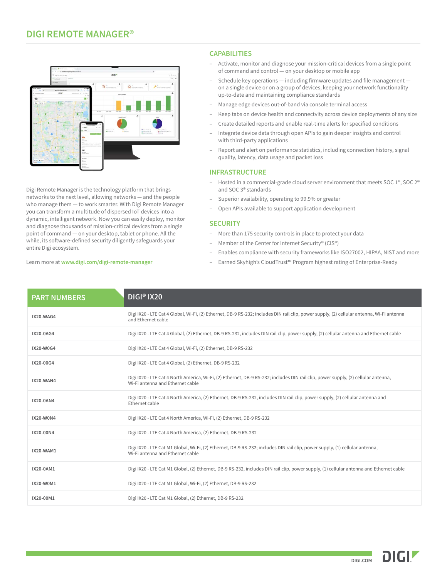### **DIGI REMOTE MANAGER®**



Digi Remote Manager is the technology platform that brings networks to the next level, allowing networks — and the people who manage them — to work smarter. With Digi Remote Manager you can transform a multitude of dispersed IoT devices into a dynamic, intelligent network. Now you can easily deploy, monitor and diagnose thousands of mission-critical devices from a single point of command — on your desktop, tablet or phone. All the while, its software-defined security diligently safeguards your entire Digi ecosystem.

#### Learn more at **[www.digi.com/digi-remote-manager](https://www.digi.com/digi-remote-manager)**

#### **CAPABILITIES**

- Activate, monitor and diagnose your mission-critical devices from a single point of command and control — on your desktop or mobile app
- Schedule key operations including firmware updates and file management on a single device or on a group of devices, keeping your network functionality up-to-date and maintaining compliance standards
- Manage edge devices out-of-band via console terminal access
- Keep tabs on device health and connectvity across device deployments of any size
- Create detailed reports and enable real-time alerts for specified conditions
- Integrate device data through open APIs to gain deeper insights and control with third-party applications
- Report and alert on performance statistics, including connection history, signal quality, latency, data usage and packet loss

#### **INFRASTRUCTURE**

- Hosted in a commercial-grade cloud server environment that meets SOC 1®, SOC 2® and SOC 3® standards
- Superior availability, operating to 99.9% or greater
- Open APIs available to support application development

#### **SECURITY**

- More than 175 security controls in place to protect your data
- Member of the Center for Internet Security® (CIS®)
- Enables compliance with security frameworks like ISO27002, HIPAA, NIST and more
- Earned Skyhigh's CloudTrust™ Program highest rating of Enterprise-Ready

| <b>PART NUMBERS</b> | DIGI <sup>®</sup> IX20                                                                                                                                                 |
|---------------------|------------------------------------------------------------------------------------------------------------------------------------------------------------------------|
| IX20-WAG4           | Digi IX20 - LTE Cat 4 Global, Wi-Fi, (2) Ethernet, DB-9 RS-232; includes DIN rail clip, power supply, (2) cellular antenna, Wi-Fi antenna<br>and Ethernet cable        |
| IX20-0AG4           | Digi IX20 - LTE Cat 4 Global, (2) Ethernet, DB-9 RS-232, includes DIN rail clip, power supply, (2) cellular antenna and Ethernet cable                                 |
| IX20-W0G4           | Digi IX20 - LTE Cat 4 Global, Wi-Fi, (2) Ethernet, DB-9 RS-232                                                                                                         |
| IX20-00G4           | Digi IX20 - LTE Cat 4 Global, (2) Ethernet, DB-9 RS-232                                                                                                                |
| IX20-WAN4           | Digi IX20 - LTE Cat 4 North America, Wi-Fi, (2) Ethernet, DB-9 RS-232; includes DIN rail clip, power supply, (2) cellular antenna,<br>Wi-Fi antenna and Ethernet cable |
| IX20-0AN4           | Digi IX20 - LTE Cat 4 North America, (2) Ethernet, DB-9 RS-232, includes DIN rail clip, power supply, (2) cellular antenna and<br>Ethernet cable                       |
| IX20-W0N4           | Digi IX20 - LTE Cat 4 North America, Wi-Fi, (2) Ethernet, DB-9 RS-232                                                                                                  |
| IX20-00N4           | Digi IX20 - LTE Cat 4 North America, (2) Ethernet, DB-9 RS-232                                                                                                         |
| IX20-WAM1           | Digi IX20 - LTE Cat M1 Global, Wi-Fi, (2) Ethernet, DB-9 RS-232; includes DIN rail clip, power supply, (1) cellular antenna,<br>Wi-Fi antenna and Ethernet cable       |
| IX20-0AM1           | Digi IX20 - LTE Cat M1 Global, (2) Ethernet, DB-9 RS-232, includes DIN rail clip, power supply, (1) cellular antenna and Ethernet cable                                |
| IX20-W0M1           | Digi IX20 - LTE Cat M1 Global, Wi-Fi, (2) Ethernet, DB-9 RS-232                                                                                                        |
| IX20-00M1           | Digi IX20 - LTE Cat M1 Global, (2) Ethernet, DB-9 RS-232                                                                                                               |